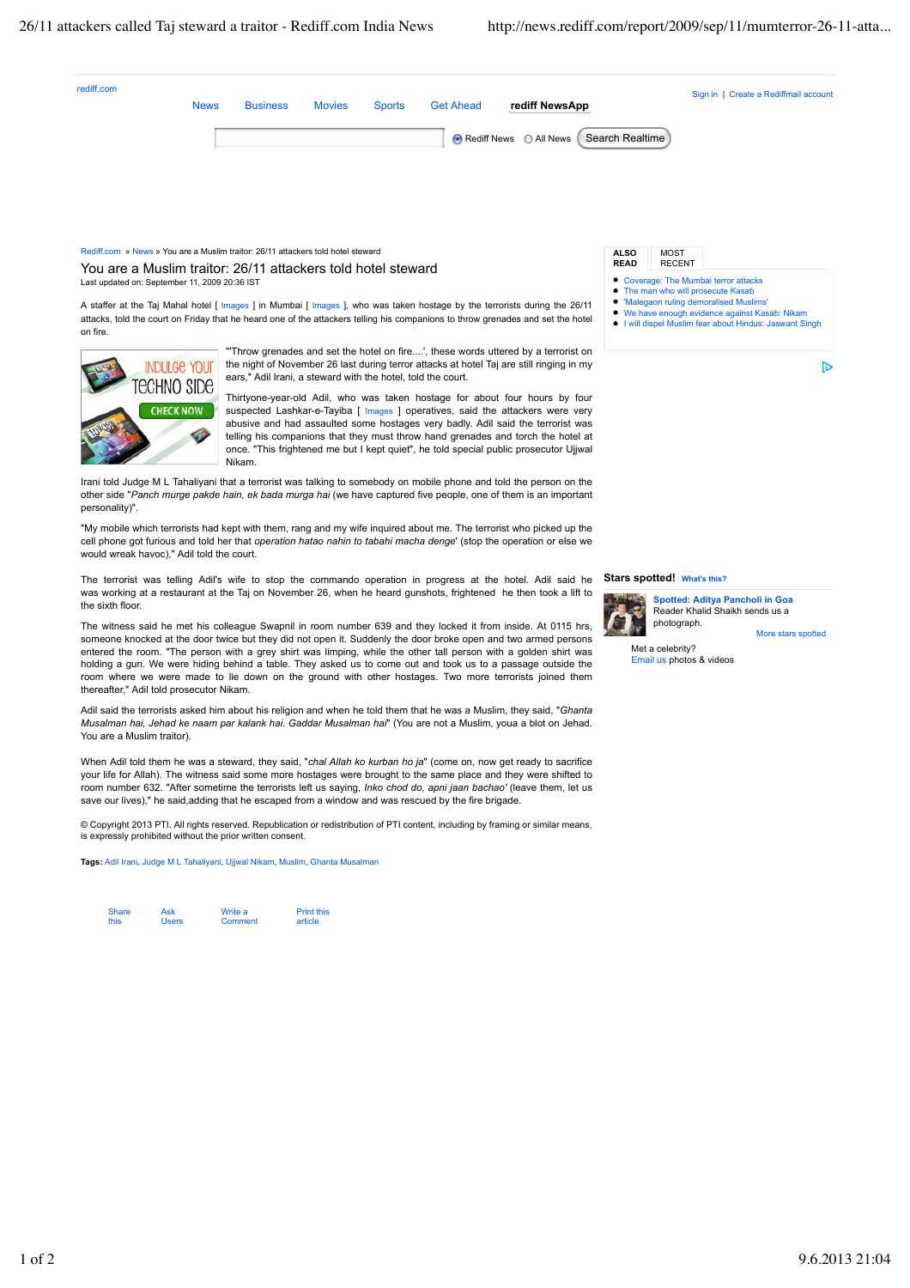